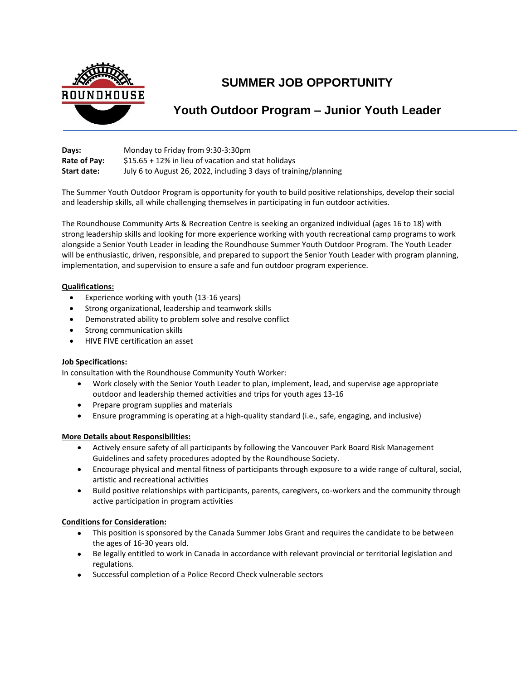

# **SUMMER JOB OPPORTUNITY**

## **Youth Outdoor Program – Junior Youth Leader**

| Days:              | Monday to Friday from 9:30-3:30pm                                |
|--------------------|------------------------------------------------------------------|
| Rate of Pay:       | $$15.65 + 12\%$ in lieu of vacation and stat holidays            |
| <b>Start date:</b> | July 6 to August 26, 2022, including 3 days of training/planning |

The Summer Youth Outdoor Program is opportunity for youth to build positive relationships, develop their social and leadership skills, all while challenging themselves in participating in fun outdoor activities.

The Roundhouse Community Arts & Recreation Centre is seeking an organized individual (ages 16 to 18) with strong leadership skills and looking for more experience working with youth recreational camp programs to work alongside a Senior Youth Leader in leading the Roundhouse Summer Youth Outdoor Program. The Youth Leader will be enthusiastic, driven, responsible, and prepared to support the Senior Youth Leader with program planning, implementation, and supervision to ensure a safe and fun outdoor program experience.

### **Qualifications:**

- Experience working with youth (13-16 years)
- Strong organizational, leadership and teamwork skills
- Demonstrated ability to problem solve and resolve conflict
- Strong communication skills
- HIVE FIVE certification an asset

### **Job Specifications:**

In consultation with the Roundhouse Community Youth Worker:

- Work closely with the Senior Youth Leader to plan, implement, lead, and supervise age appropriate outdoor and leadership themed activities and trips for youth ages 13-16
- Prepare program supplies and materials
- Ensure programming is operating at a high-quality standard (i.e., safe, engaging, and inclusive)

### **More Details about Responsibilities:**

- Actively ensure safety of all participants by following the Vancouver Park Board Risk Management Guidelines and safety procedures adopted by the Roundhouse Society.
- Encourage physical and mental fitness of participants through exposure to a wide range of cultural, social, artistic and recreational activities
- Build positive relationships with participants, parents, caregivers, co-workers and the community through active participation in program activities

### **Conditions for Consideration:**

- This position is sponsored by the Canada Summer Jobs Grant and requires the candidate to be between the ages of 16-30 years old.
- Be legally entitled to work in Canada in accordance with relevant provincial or territorial legislation and regulations.
- Successful completion of a Police Record Check vulnerable sectors